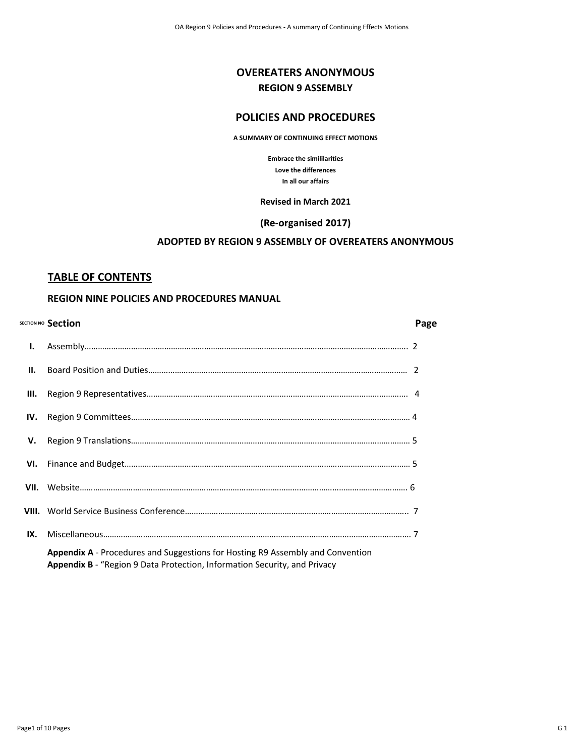# **OVEREATERS ANONYMOUS REGION 9 ASSEMBLY**

## **POLICIES AND PROCEDURES**

#### **A SUMMARY OF CONTINUING EFFECT MOTIONS**

**Embrace the simililarities Love the differences In all our affairs**

#### **Revised in March 2021**

## **(Re-organised 2017)**

## **ADOPTED BY REGION 9 ASSEMBLY OF OVEREATERS ANONYMOUS**

### **TABLE OF CONTENTS**

### **REGION NINE POLICIES AND PROCEDURES MANUAL**

|                 | SECTION NO Section                                                                                                                                          | Page |
|-----------------|-------------------------------------------------------------------------------------------------------------------------------------------------------------|------|
| Ι.              |                                                                                                                                                             |      |
| $\mathbf{II}$ . |                                                                                                                                                             |      |
| III.            |                                                                                                                                                             |      |
| IV.             |                                                                                                                                                             |      |
| v.              |                                                                                                                                                             |      |
| VI.             |                                                                                                                                                             |      |
|                 |                                                                                                                                                             |      |
|                 |                                                                                                                                                             |      |
| IX.             |                                                                                                                                                             |      |
|                 | Appendix A - Procedures and Suggestions for Hosting R9 Assembly and Convention<br>Appendix B - "Region 9 Data Protection, Information Security, and Privacy |      |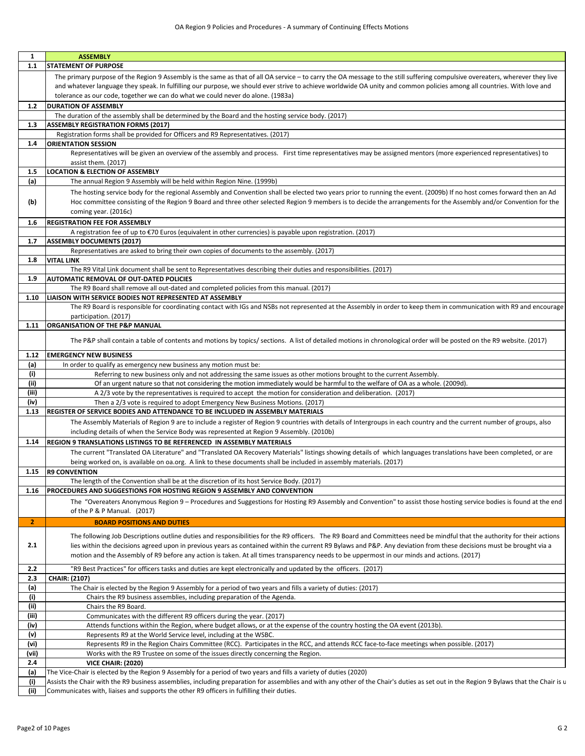| 1              | <b>ASSEMBLY</b>                                                                                                                                                                                                                                                                                                                                                   |
|----------------|-------------------------------------------------------------------------------------------------------------------------------------------------------------------------------------------------------------------------------------------------------------------------------------------------------------------------------------------------------------------|
| 1.1            | <b>STATEMENT OF PURPOSE</b>                                                                                                                                                                                                                                                                                                                                       |
|                | The primary purpose of the Region 9 Assembly is the same as that of all OA service - to carry the OA message to the still suffering compulsive overeaters, wherever they live                                                                                                                                                                                     |
|                | and whatever language they speak. In fulfilling our purpose, we should ever strive to achieve worldwide OA unity and common policies among all countries. With love and                                                                                                                                                                                           |
|                | tolerance as our code, together we can do what we could never do alone. (1983a)                                                                                                                                                                                                                                                                                   |
| 1.2            | <b>DURATION OF ASSEMBLY</b>                                                                                                                                                                                                                                                                                                                                       |
|                | The duration of the assembly shall be determined by the Board and the hosting service body. (2017)                                                                                                                                                                                                                                                                |
| 1.3            | <b>ASSEMBLY REGISTRATION FORMS (2017)</b>                                                                                                                                                                                                                                                                                                                         |
|                | Registration forms shall be provided for Officers and R9 Representatives. (2017)                                                                                                                                                                                                                                                                                  |
| 1.4            | <b>ORIENTATION SESSION</b>                                                                                                                                                                                                                                                                                                                                        |
|                | Representatives will be given an overview of the assembly and process. First time representatives may be assigned mentors (more experienced representatives) to                                                                                                                                                                                                   |
|                | assist them. (2017)                                                                                                                                                                                                                                                                                                                                               |
| 1.5            | <b>LOCATION &amp; ELECTION OF ASSEMBLY</b>                                                                                                                                                                                                                                                                                                                        |
| (a)            | The annual Region 9 Assembly will be held within Region Nine. (1999b)                                                                                                                                                                                                                                                                                             |
| (b)            | The hosting service body for the regional Assembly and Convention shall be elected two years prior to running the event. (2009b) If no host comes forward then an Ad<br>Hoc committee consisting of the Region 9 Board and three other selected Region 9 members is to decide the arrangements for the Assembly and/or Convention for the<br>coming year. (2016c) |
| 1.6            | <b>REGISTRATION FEE FOR ASSEMBLY</b>                                                                                                                                                                                                                                                                                                                              |
|                | A registration fee of up to €70 Euros (equivalent in other currencies) is payable upon registration. (2017)                                                                                                                                                                                                                                                       |
| 1.7            | <b>ASSEMBLY DOCUMENTS (2017)</b>                                                                                                                                                                                                                                                                                                                                  |
|                | Representatives are asked to bring their own copies of documents to the assembly. (2017)                                                                                                                                                                                                                                                                          |
| 1.8            | <b>VITAL LINK</b>                                                                                                                                                                                                                                                                                                                                                 |
|                | The R9 Vital Link document shall be sent to Representatives describing their duties and responsibilities. (2017)                                                                                                                                                                                                                                                  |
| 1.9            | AUTOMATIC REMOVAL OF OUT-DATED POLICIES                                                                                                                                                                                                                                                                                                                           |
|                | The R9 Board shall remove all out-dated and completed policies from this manual. (2017)                                                                                                                                                                                                                                                                           |
| 1.10           | LIAISON WITH SERVICE BODIES NOT REPRESENTED AT ASSEMBLY<br>The R9 Board is responsible for coordinating contact with IGs and NSBs not represented at the Assembly in order to keep them in communication with R9 and encourage                                                                                                                                    |
| 1.11           | participation. (2017)<br><b>ORGANISATION OF THE P&amp;P MANUAL</b>                                                                                                                                                                                                                                                                                                |
|                |                                                                                                                                                                                                                                                                                                                                                                   |
|                | The P&P shall contain a table of contents and motions by topics/ sections. A list of detailed motions in chronological order will be posted on the R9 website. (2017)                                                                                                                                                                                             |
| 1.12           | <b>EMERGENCY NEW BUSINESS</b>                                                                                                                                                                                                                                                                                                                                     |
| (a)            | In order to qualify as emergency new business any motion must be:                                                                                                                                                                                                                                                                                                 |
| (i)<br>(ii)    | Referring to new business only and not addressing the same issues as other motions brought to the current Assembly.<br>Of an urgent nature so that not considering the motion immediately would be harmful to the welfare of OA as a whole. (2009d).                                                                                                              |
| (iii)          | A 2/3 vote by the representatives is required to accept the motion for consideration and deliberation. (2017)                                                                                                                                                                                                                                                     |
| (iv)           | Then a 2/3 vote is required to adopt Emergency New Business Motions. (2017)                                                                                                                                                                                                                                                                                       |
| 1.13           | REGISTER OF SERVICE BODIES AND ATTENDANCE TO BE INCLUDED IN ASSEMBLY MATERIALS                                                                                                                                                                                                                                                                                    |
|                | The Assembly Materials of Region 9 are to include a register of Region 9 countries with details of Intergroups in each country and the current number of groups, also                                                                                                                                                                                             |
|                | including details of when the Service Body was represented at Region 9 Assembly. (2010b)                                                                                                                                                                                                                                                                          |
| 1.14           | REGION 9 TRANSLATIONS LISTINGS TO BE REFERENCED IN ASSEMBLY MATERIALS                                                                                                                                                                                                                                                                                             |
|                | The current "Translated OA Literature" and "Translated OA Recovery Materials" listings showing details of which languages translations have been completed, or are                                                                                                                                                                                                |
|                | being worked on, is available on oa.org. A link to these documents shall be included in assembly materials. (2017)                                                                                                                                                                                                                                                |
| 1.15           | <b>R9 CONVENTION</b>                                                                                                                                                                                                                                                                                                                                              |
|                | The length of the Convention shall be at the discretion of its host Service Body. (2017)                                                                                                                                                                                                                                                                          |
| 1.16           | <b>PROCEDURES AND SUGGESTIONS FOR HOSTING REGION 9 ASSEMBLY AND CONVENTION</b>                                                                                                                                                                                                                                                                                    |
|                | The "Overeaters Anonymous Region 9 - Procedures and Suggestions for Hosting R9 Assembly and Convention" to assist those hosting service bodies is found at the end                                                                                                                                                                                                |
|                | of the P & P Manual. (2017)                                                                                                                                                                                                                                                                                                                                       |
| $\overline{2}$ | <b>BOARD POSITIONS AND DUTIES</b>                                                                                                                                                                                                                                                                                                                                 |
|                |                                                                                                                                                                                                                                                                                                                                                                   |
|                | The following Job Descriptions outline duties and responsibilities for the R9 officers. The R9 Board and Committees need be mindful that the authority for their actions                                                                                                                                                                                          |
| 2.1            | lies within the decisions agreed upon in previous years as contained within the current R9 Bylaws and P&P. Any deviation from these decisions must be brought via a                                                                                                                                                                                               |
|                | motion and the Assembly of R9 before any action is taken. At all times transparency needs to be uppermost in our minds and actions. (2017)                                                                                                                                                                                                                        |
| 2.2            | "R9 Best Practices" for officers tasks and duties are kept electronically and updated by the officers. (2017)                                                                                                                                                                                                                                                     |
| 2.3            | CHAIR: (2107)                                                                                                                                                                                                                                                                                                                                                     |
| (a)            | The Chair is elected by the Region 9 Assembly for a period of two years and fills a variety of duties: (2017)                                                                                                                                                                                                                                                     |
| (i)            | Chairs the R9 business assemblies, including preparation of the Agenda.                                                                                                                                                                                                                                                                                           |
| (ii)           | Chairs the R9 Board.                                                                                                                                                                                                                                                                                                                                              |
| (iii)          | Communicates with the different R9 officers during the year. (2017)                                                                                                                                                                                                                                                                                               |
| (iv)           | Attends functions within the Region, where budget allows, or at the expense of the country hosting the OA event (2013b).                                                                                                                                                                                                                                          |
| (v)            | Represents R9 at the World Service level, including at the WSBC.                                                                                                                                                                                                                                                                                                  |
| (vi)           | Represents R9 in the Region Chairs Committee (RCC). Participates in the RCC, and attends RCC face-to-face meetings when possible. (2017)                                                                                                                                                                                                                          |
| (vii)          | Works with the R9 Trustee on some of the issues directly concerning the Region.                                                                                                                                                                                                                                                                                   |
| 2.4            | <b>VICE CHAIR: (2020)</b>                                                                                                                                                                                                                                                                                                                                         |
| (a)            | The Vice-Chair is elected by the Region 9 Assembly for a period of two years and fills a variety of duties (2020)                                                                                                                                                                                                                                                 |
|                | Assists the Chair with the R9 business assemblies, including preparation for assemblies and with any other of the Chair's duties as set out in the Region 9 Bylaws that the Chair is u                                                                                                                                                                            |

**(ii)** Communicates with, liaises and supports the other R9 officers in fulfilling their duties.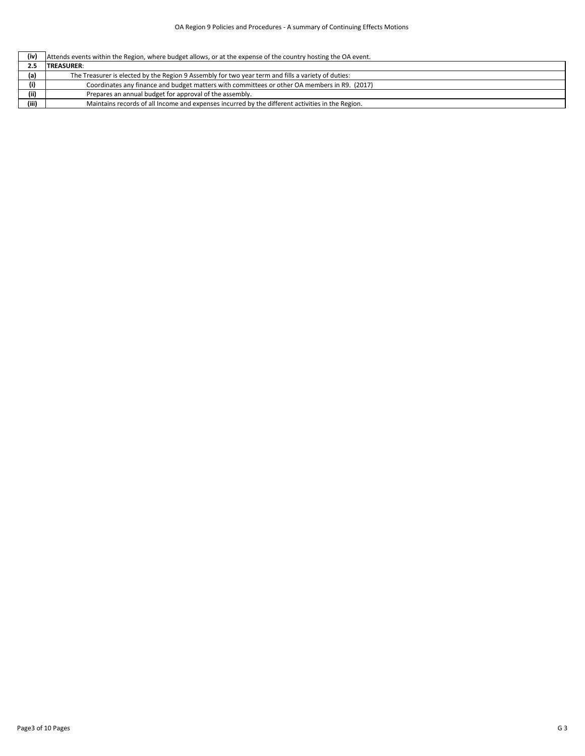|  | $\int$ (iv) Attends events within the Region, where budget allows, or at the expense of the country hosting the OA event. |
|--|---------------------------------------------------------------------------------------------------------------------------|
|--|---------------------------------------------------------------------------------------------------------------------------|

|       | <b>TREASURER:</b>                                                                                  |
|-------|----------------------------------------------------------------------------------------------------|
| (a)   | The Treasurer is elected by the Region 9 Assembly for two year term and fills a variety of duties: |
| (i)   | Coordinates any finance and budget matters with committees or other OA members in R9. (2017)       |
| (ii)  | Prepares an annual budget for approval of the assembly.                                            |
| (iii) | Maintains records of all Income and expenses incurred by the different activities in the Region.   |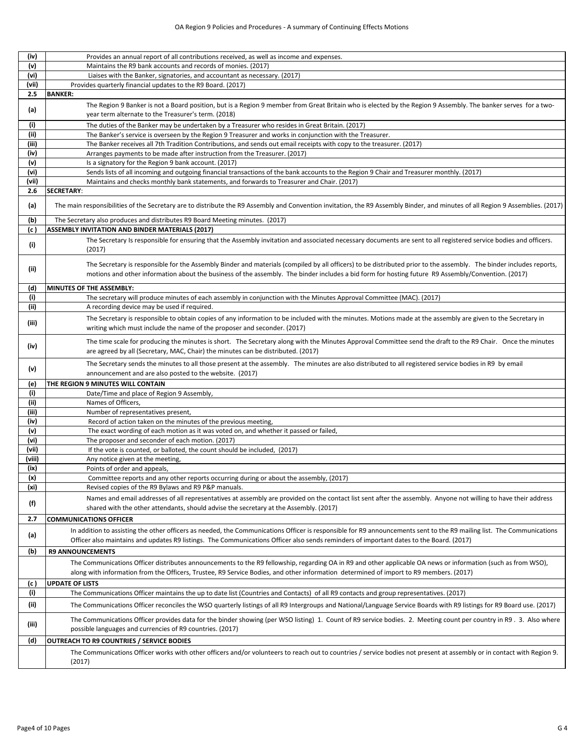| (iv)   | Provides an annual report of all contributions received, as well as income and expenses.                                                                                                                                                                                                                                  |
|--------|---------------------------------------------------------------------------------------------------------------------------------------------------------------------------------------------------------------------------------------------------------------------------------------------------------------------------|
| (v)    | Maintains the R9 bank accounts and records of monies. (2017)                                                                                                                                                                                                                                                              |
| (vi)   | Liaises with the Banker, signatories, and accountant as necessary. (2017)                                                                                                                                                                                                                                                 |
| (vii)  | Provides quarterly financial updates to the R9 Board. (2017)                                                                                                                                                                                                                                                              |
| 2.5    | <b>BANKER:</b>                                                                                                                                                                                                                                                                                                            |
| (a)    | The Region 9 Banker is not a Board position, but is a Region 9 member from Great Britain who is elected by the Region 9 Assembly. The banker serves for a two-<br>year term alternate to the Treasurer's term. (2018)                                                                                                     |
| (i)    | The duties of the Banker may be undertaken by a Treasurer who resides in Great Britain. (2017)                                                                                                                                                                                                                            |
| (iii)  | The Banker's service is overseen by the Region 9 Treasurer and works in conjunction with the Treasurer.                                                                                                                                                                                                                   |
| (iii)  | The Banker receives all 7th Tradition Contributions, and sends out email receipts with copy to the treasurer. (2017)                                                                                                                                                                                                      |
| (iv)   | Arranges payments to be made after instruction from the Treasurer. (2017)                                                                                                                                                                                                                                                 |
| (v)    | Is a signatory for the Region 9 bank account. (2017)                                                                                                                                                                                                                                                                      |
| (vi)   | Sends lists of all incoming and outgoing financial transactions of the bank accounts to the Region 9 Chair and Treasurer monthly. (2017)                                                                                                                                                                                  |
| (vii)  | Maintains and checks monthly bank statements, and forwards to Treasurer and Chair. (2017)                                                                                                                                                                                                                                 |
| 2.6    | <b>SECRETARY:</b>                                                                                                                                                                                                                                                                                                         |
| (a)    | The main responsibilities of the Secretary are to distribute the R9 Assembly and Convention invitation, the R9 Assembly Binder, and minutes of all Region 9 Assemblies. (2017)                                                                                                                                            |
| (b)    | The Secretary also produces and distributes R9 Board Meeting minutes. (2017)                                                                                                                                                                                                                                              |
| (c)    | <b>ASSEMBLY INVITATION AND BINDER MATERIALS (2017)</b>                                                                                                                                                                                                                                                                    |
| (i)    | The Secretary Is responsible for ensuring that the Assembly invitation and associated necessary documents are sent to all registered service bodies and officers.<br>(2017)                                                                                                                                               |
| (iii)  | The Secretary is responsible for the Assembly Binder and materials (compiled by all officers) to be distributed prior to the assembly. The binder includes reports,<br>motions and other information about the business of the assembly. The binder includes a bid form for hosting future R9 Assembly/Convention. (2017) |
| (d)    | MINUTES OF THE ASSEMBLY:                                                                                                                                                                                                                                                                                                  |
| (i)    | The secretary will produce minutes of each assembly in conjunction with the Minutes Approval Committee (MAC). (2017)                                                                                                                                                                                                      |
| (ii)   | A recording device may be used if required.                                                                                                                                                                                                                                                                               |
| (iii)  | The Secretary is responsible to obtain copies of any information to be included with the minutes. Motions made at the assembly are given to the Secretary in<br>writing which must include the name of the proposer and seconder. (2017)                                                                                  |
| (iv)   | The time scale for producing the minutes is short. The Secretary along with the Minutes Approval Committee send the draft to the R9 Chair. Once the minutes<br>are agreed by all (Secretary, MAC, Chair) the minutes can be distributed. (2017)                                                                           |
| (v)    | The Secretary sends the minutes to all those present at the assembly. The minutes are also distributed to all registered service bodies in R9 by email<br>announcement and are also posted to the website. (2017)                                                                                                         |
| (e)    | THE REGION 9 MINUTES WILL CONTAIN                                                                                                                                                                                                                                                                                         |
| (i)    | Date/Time and place of Region 9 Assembly,                                                                                                                                                                                                                                                                                 |
| (ii)   | Names of Officers,                                                                                                                                                                                                                                                                                                        |
| (iii)  | Number of representatives present,                                                                                                                                                                                                                                                                                        |
| (iv)   | Record of action taken on the minutes of the previous meeting,                                                                                                                                                                                                                                                            |
| (v)    | The exact wording of each motion as it was voted on, and whether it passed or failed,                                                                                                                                                                                                                                     |
| (vi)   | The proposer and seconder of each motion. (2017)                                                                                                                                                                                                                                                                          |
| (vii)  | If the vote is counted, or balloted, the count should be included, (2017)                                                                                                                                                                                                                                                 |
| (viii) | Any notice given at the meeting,                                                                                                                                                                                                                                                                                          |
| (ix)   | Points of order and appeals,                                                                                                                                                                                                                                                                                              |
| (x)    | Committee reports and any other reports occurring during or about the assembly, (2017)                                                                                                                                                                                                                                    |
| (xi)   | Revised copies of the R9 Bylaws and R9 P&P manuals.                                                                                                                                                                                                                                                                       |
| (f)    | Names and email addresses of all representatives at assembly are provided on the contact list sent after the assembly. Anyone not willing to have their address<br>shared with the other attendants, should advise the secretary at the Assembly. (2017)                                                                  |
| 2.7    | <b>COMMUNICATIONS OFFICER</b>                                                                                                                                                                                                                                                                                             |
| (a)    | In addition to assisting the other officers as needed, the Communications Officer is responsible for R9 announcements sent to the R9 mailing list. The Communications<br>Officer also maintains and updates R9 listings. The Communications Officer also sends reminders of important dates to the Board. (2017)          |
| (b)    | <b>R9 ANNOUNCEMENTS</b>                                                                                                                                                                                                                                                                                                   |
|        | The Communications Officer distributes announcements to the R9 fellowship, regarding OA in R9 and other applicable OA news or information (such as from WSO),<br>along with information from the Officers, Trustee, R9 Service Bodies, and other information determined of import to R9 members. (2017)                   |
| (c )   | <b>UPDATE OF LISTS</b>                                                                                                                                                                                                                                                                                                    |
| (i)    | The Communications Officer maintains the up to date list (Countries and Contacts) of all R9 contacts and group representatives. (2017)                                                                                                                                                                                    |
| (ii)   | The Communications Officer reconciles the WSO quarterly listings of all R9 Intergroups and National/Language Service Boards with R9 listings for R9 Board use. (2017)                                                                                                                                                     |
| (iii)  | The Communications Officer provides data for the binder showing (per WSO listing) 1. Count of R9 service bodies. 2. Meeting count per country in R9. 3. Also where<br>possible languages and currencies of R9 countries. (2017)                                                                                           |
| (d)    | <b>OUTREACH TO R9 COUNTRIES / SERVICE BODIES</b>                                                                                                                                                                                                                                                                          |
|        | The Communications Officer works with other officers and/or volunteers to reach out to countries / service bodies not present at assembly or in contact with Region 9.<br>(2017)                                                                                                                                          |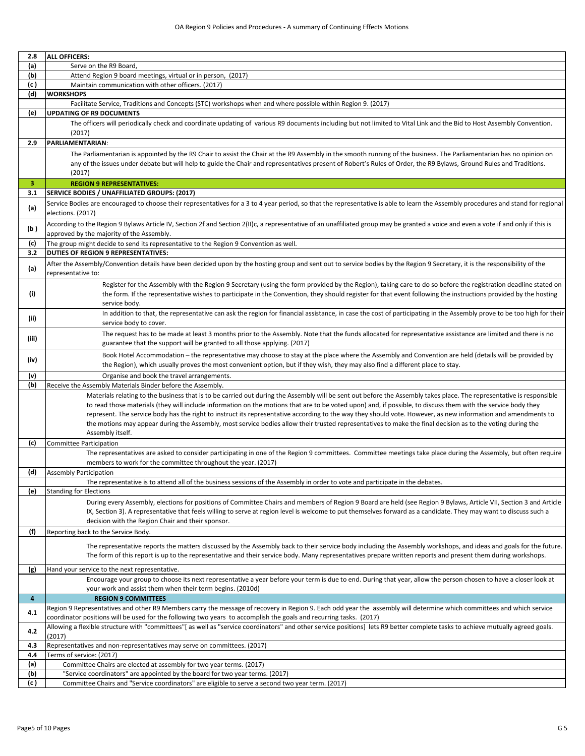| 2.8                     | <b>ALL OFFICERS:</b>                                                                                                                                                                                                                                                                                                                  |
|-------------------------|---------------------------------------------------------------------------------------------------------------------------------------------------------------------------------------------------------------------------------------------------------------------------------------------------------------------------------------|
| (a)                     | Serve on the R9 Board,                                                                                                                                                                                                                                                                                                                |
| (b)                     | Attend Region 9 board meetings, virtual or in person, (2017)                                                                                                                                                                                                                                                                          |
| (c)                     | Maintain communication with other officers. (2017)                                                                                                                                                                                                                                                                                    |
| (d)                     | <b>WORKSHOPS</b>                                                                                                                                                                                                                                                                                                                      |
|                         | Facilitate Service, Traditions and Concepts (STC) workshops when and where possible within Region 9. (2017)                                                                                                                                                                                                                           |
| (e)                     | <b>UPDATING OF R9 DOCUMENTS</b>                                                                                                                                                                                                                                                                                                       |
|                         | The officers will periodically check and coordinate updating of various R9 documents including but not limited to Vital Link and the Bid to Host Assembly Convention.                                                                                                                                                                 |
|                         | (2017)                                                                                                                                                                                                                                                                                                                                |
| 2.9                     | PARLIAMENTARIAN:                                                                                                                                                                                                                                                                                                                      |
|                         | The Parliamentarian is appointed by the R9 Chair to assist the Chair at the R9 Assembly in the smooth running of the business. The Parliamentarian has no opinion on                                                                                                                                                                  |
|                         | any of the issues under debate but will help to guide the Chair and representatives present of Robert's Rules of Order, the R9 Bylaws, Ground Rules and Traditions.                                                                                                                                                                   |
|                         | (2017)                                                                                                                                                                                                                                                                                                                                |
| 3                       | <b>REGION 9 REPRESENTATIVES:</b>                                                                                                                                                                                                                                                                                                      |
| 3.1                     | SERVICE BODIES / UNAFFILIATED GROUPS: (2017)                                                                                                                                                                                                                                                                                          |
|                         | Service Bodies are encouraged to choose their representatives for a 3 to 4 year period, so that the representative is able to learn the Assembly procedures and stand for regional                                                                                                                                                    |
| (a)                     | elections. (2017)                                                                                                                                                                                                                                                                                                                     |
|                         | According to the Region 9 Bylaws Article IV, Section 2f and Section 2(II)c, a representative of an unaffiliated group may be granted a voice and even a vote if and only if this is                                                                                                                                                   |
| (b)                     | approved by the majority of the Assembly.                                                                                                                                                                                                                                                                                             |
| (c)                     | The group might decide to send its representative to the Region 9 Convention as well.                                                                                                                                                                                                                                                 |
| 3.2                     | <b>DUTIES OF REGION 9 REPRESENTATIVES:</b>                                                                                                                                                                                                                                                                                            |
|                         | After the Assembly/Convention details have been decided upon by the hosting group and sent out to service bodies by the Region 9 Secretary, it is the responsibility of the                                                                                                                                                           |
| (a)                     | representative to:                                                                                                                                                                                                                                                                                                                    |
|                         | Register for the Assembly with the Region 9 Secretary (using the form provided by the Region), taking care to do so before the registration deadline stated on                                                                                                                                                                        |
| (i)                     | the form. If the representative wishes to participate in the Convention, they should register for that event following the instructions provided by the hosting                                                                                                                                                                       |
|                         | service body.                                                                                                                                                                                                                                                                                                                         |
|                         | In addition to that, the representative can ask the region for financial assistance, in case the cost of participating in the Assembly prove to be too high for their                                                                                                                                                                 |
| (ii)                    | service body to cover.                                                                                                                                                                                                                                                                                                                |
|                         | The request has to be made at least 3 months prior to the Assembly. Note that the funds allocated for representative assistance are limited and there is no                                                                                                                                                                           |
| (iii)                   | guarantee that the support will be granted to all those applying. (2017)                                                                                                                                                                                                                                                              |
|                         |                                                                                                                                                                                                                                                                                                                                       |
| (iv)                    | Book Hotel Accommodation – the representative may choose to stay at the place where the Assembly and Convention are held (details will be provided by                                                                                                                                                                                 |
|                         | the Region), which usually proves the most convenient option, but if they wish, they may also find a different place to stay.                                                                                                                                                                                                         |
| (v)                     | Organise and book the travel arrangements.                                                                                                                                                                                                                                                                                            |
| (b)                     | Receive the Assembly Materials Binder before the Assembly.                                                                                                                                                                                                                                                                            |
|                         | Materials relating to the business that is to be carried out during the Assembly will be sent out before the Assembly takes place. The representative is responsible<br>to read those materials (they will include information on the motions that are to be voted upon) and, if possible, to discuss them with the service body they |
|                         | represent. The service body has the right to instruct its representative according to the way they should vote. However, as new information and amendments to                                                                                                                                                                         |
|                         | the motions may appear during the Assembly, most service bodies allow their trusted representatives to make the final decision as to the voting during the                                                                                                                                                                            |
|                         | Assembly itself.                                                                                                                                                                                                                                                                                                                      |
| (c)                     | Committee Participation                                                                                                                                                                                                                                                                                                               |
|                         | The representatives are asked to consider participating in one of the Region 9 committees. Committee meetings take place during the Assembly, but often require                                                                                                                                                                       |
|                         | members to work for the committee throughout the year. (2017)                                                                                                                                                                                                                                                                         |
| (d)                     | <b>Assembly Participation</b>                                                                                                                                                                                                                                                                                                         |
|                         | The representative is to attend all of the business sessions of the Assembly in order to vote and participate in the debates.                                                                                                                                                                                                         |
| (e)                     | <b>Standing for Elections</b>                                                                                                                                                                                                                                                                                                         |
|                         | During every Assembly, elections for positions of Committee Chairs and members of Region 9 Board are held (see Region 9 Bylaws, Article VII, Section 3 and Article                                                                                                                                                                    |
|                         | IX, Section 3). A representative that feels willing to serve at region level is welcome to put themselves forward as a candidate. They may want to discuss such a                                                                                                                                                                     |
|                         | decision with the Region Chair and their sponsor.                                                                                                                                                                                                                                                                                     |
| (f)                     | Reporting back to the Service Body.                                                                                                                                                                                                                                                                                                   |
|                         | The representative reports the matters discussed by the Assembly back to their service body including the Assembly workshops, and ideas and goals for the future.                                                                                                                                                                     |
|                         | The form of this report is up to the representative and their service body. Many representatives prepare written reports and present them during workshops.                                                                                                                                                                           |
|                         |                                                                                                                                                                                                                                                                                                                                       |
| (g)                     | Hand your service to the next representative.                                                                                                                                                                                                                                                                                         |
|                         | Encourage your group to choose its next representative a year before your term is due to end. During that year, allow the person chosen to have a closer look at                                                                                                                                                                      |
|                         | your work and assist them when their term begins. (2010d)                                                                                                                                                                                                                                                                             |
| $\overline{\mathbf{4}}$ | <b>REGION 9 COMMITTEES</b>                                                                                                                                                                                                                                                                                                            |
| 4.1                     | Region 9 Representatives and other R9 Members carry the message of recovery in Region 9. Each odd year the assembly will determine which committees and which service                                                                                                                                                                 |
|                         | coordinator positions will be used for the following two years to accomplish the goals and recurring tasks. (2017)                                                                                                                                                                                                                    |
| 4.2                     | Allowing a flexible structure with "committees"[as well as "service coordinators" and other service positions] lets R9 better complete tasks to achieve mutually agreed goals.                                                                                                                                                        |
| 4.3                     | (2017)                                                                                                                                                                                                                                                                                                                                |
| 4.4                     | Representatives and non-representatives may serve on committees. (2017)<br>Terms of service: (2017)                                                                                                                                                                                                                                   |
| (a)                     | Committee Chairs are elected at assembly for two year terms. (2017)                                                                                                                                                                                                                                                                   |
| (b)                     | "Service coordinators" are appointed by the board for two year terms. (2017)                                                                                                                                                                                                                                                          |
| (c )                    | Committee Chairs and "Service coordinators" are eligible to serve a second two year term. (2017)                                                                                                                                                                                                                                      |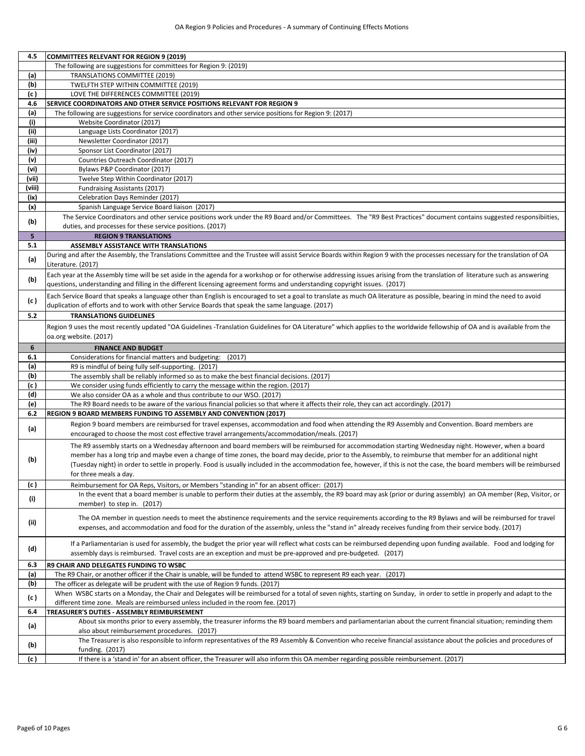| 4.5    | <b>COMMITTEES RELEVANT FOR REGION 9 (2019)</b>                                                                                                                                                                                                                                                                         |
|--------|------------------------------------------------------------------------------------------------------------------------------------------------------------------------------------------------------------------------------------------------------------------------------------------------------------------------|
|        | The following are suggestions for committees for Region 9: (2019)                                                                                                                                                                                                                                                      |
| (a)    | <b>TRANSLATIONS COMMITTEE (2019)</b>                                                                                                                                                                                                                                                                                   |
| (b)    | TWELFTH STEP WITHIN COMMITTEE (2019)                                                                                                                                                                                                                                                                                   |
| (c)    | LOVE THE DIFFERENCES COMMITTEE (2019)                                                                                                                                                                                                                                                                                  |
| 4.6    | <b>SERVICE COORDINATORS AND OTHER SERVICE POSITIONS RELEVANT FOR REGION 9</b>                                                                                                                                                                                                                                          |
| (a)    | The following are suggestions for service coordinators and other service positions for Region 9: (2017)                                                                                                                                                                                                                |
| (i)    | Website Coordinator (2017)                                                                                                                                                                                                                                                                                             |
| (ii)   | Language Lists Coordinator (2017)                                                                                                                                                                                                                                                                                      |
| (iii)  | Newsletter Coordinator (2017)                                                                                                                                                                                                                                                                                          |
| (iv)   | Sponsor List Coordinator (2017)                                                                                                                                                                                                                                                                                        |
| (v)    | Countries Outreach Coordinator (2017)                                                                                                                                                                                                                                                                                  |
| (vi)   | Bylaws P&P Coordinator (2017)                                                                                                                                                                                                                                                                                          |
| (vii)  | Twelve Step Within Coordinator (2017)                                                                                                                                                                                                                                                                                  |
| (viii) | Fundraising Assistants (2017)                                                                                                                                                                                                                                                                                          |
| (ix)   | Celebration Days Reminder (2017)                                                                                                                                                                                                                                                                                       |
| (x)    | Spanish Language Service Board liaison (2017)                                                                                                                                                                                                                                                                          |
|        | The Service Coordinators and other service positions work under the R9 Board and/or Committees. The "R9 Best Practices" document contains suggested responsibiities,                                                                                                                                                   |
| (b)    | duties, and processes for these service positions. (2017)                                                                                                                                                                                                                                                              |
| 5      | <b>REGION 9 TRANSLATIONS</b>                                                                                                                                                                                                                                                                                           |
| 5.1    | <b>ASSEMBLY ASSISTANCE WITH TRANSLATIONS</b>                                                                                                                                                                                                                                                                           |
|        | During and after the Assembly, the Translations Committee and the Trustee will assist Service Boards within Region 9 with the processes necessary for the translation of OA                                                                                                                                            |
| (a)    | Literature. (2017)                                                                                                                                                                                                                                                                                                     |
|        | Each year at the Assembly time will be set aside in the agenda for a workshop or for otherwise addressing issues arising from the translation of literature such as answering                                                                                                                                          |
| (b)    | questions, understanding and filling in the different licensing agreement forms and understanding copyright issues. (2017)                                                                                                                                                                                             |
|        | Each Service Board that speaks a language other than English is encouraged to set a goal to translate as much OA literature as possible, bearing in mind the need to avoid                                                                                                                                             |
| (c)    | duplication of efforts and to work with other Service Boards that speak the same language. (2017)                                                                                                                                                                                                                      |
| 5.2    | <b>TRANSLATIONS GUIDELINES</b>                                                                                                                                                                                                                                                                                         |
|        | Region 9 uses the most recently updated "OA Guidelines -Translation Guidelines for OA Literature" which applies to the worldwide fellowship of OA and is available from the                                                                                                                                            |
|        | oa.org website. (2017)                                                                                                                                                                                                                                                                                                 |
| 6      | <b>FINANCE AND BUDGET</b>                                                                                                                                                                                                                                                                                              |
| 6.1    | Considerations for financial matters and budgeting: (2017)                                                                                                                                                                                                                                                             |
| (a)    | R9 is mindful of being fully self-supporting. (2017)                                                                                                                                                                                                                                                                   |
| (b)    | The assembly shall be reliably informed so as to make the best financial decisions. (2017)                                                                                                                                                                                                                             |
| (c)    | We consider using funds efficiently to carry the message within the region. (2017)                                                                                                                                                                                                                                     |
| (d)    | We also consider OA as a whole and thus contribute to our WSO. (2017)                                                                                                                                                                                                                                                  |
| (e)    | The R9 Board needs to be aware of the various financial policies so that where it affects their role, they can act accordingly. (2017)                                                                                                                                                                                 |
| 6.2    | <b>REGION 9 BOARD MEMBERS FUNDING TO ASSEMBLY AND CONVENTION (2017)</b>                                                                                                                                                                                                                                                |
|        | Region 9 board members are reimbursed for travel expenses, accommodation and food when attending the R9 Assembly and Convention. Board members are                                                                                                                                                                     |
| (a)    | encouraged to choose the most cost effective travel arrangements/accommodation/meals. (2017)                                                                                                                                                                                                                           |
|        | The R9 assembly starts on a Wednesday afternoon and board members will be reimbursed for accommodation starting Wednesday night. However, when a board                                                                                                                                                                 |
|        | member has a long trip and maybe even a change of time zones, the board may decide, prior to the Assembly, to reimburse that member for an additional night                                                                                                                                                            |
| (b)    | (Tuesday night) in order to settle in properly. Food is usually included in the accommodation fee, however, if this is not the case, the board members will be reimbursed                                                                                                                                              |
|        | for three meals a day.                                                                                                                                                                                                                                                                                                 |
| (c)    | Reimbursement for OA Reps, Visitors, or Members "standing in" for an absent officer: (2017)                                                                                                                                                                                                                            |
|        | In the event that a board member is unable to perform their duties at the assembly, the R9 board may ask (prior or during assembly) an OA member (Rep, Visitor, or                                                                                                                                                     |
| (i)    | member) to step in. (2017)                                                                                                                                                                                                                                                                                             |
|        |                                                                                                                                                                                                                                                                                                                        |
| (ii)   | The OA member in question needs to meet the abstinence requirements and the service requirements according to the R9 Bylaws and will be reimbursed for travel<br>expenses, and accommodation and food for the duration of the assembly, unless the "stand in" already receives funding from their service body. (2017) |
|        |                                                                                                                                                                                                                                                                                                                        |
|        | If a Parliamentarian is used for assembly, the budget the prior year will reflect what costs can be reimbursed depending upon funding available. Food and lodging for                                                                                                                                                  |
| (d)    | assembly days is reimbursed. Travel costs are an exception and must be pre-approved and pre-budgeted. (2017)                                                                                                                                                                                                           |
| 6.3    | R9 CHAIR AND DELEGATES FUNDING TO WSBC                                                                                                                                                                                                                                                                                 |
| (a)    | The R9 Chair, or another officer if the Chair is unable, will be funded to attend WSBC to represent R9 each year. (2017)                                                                                                                                                                                               |
| (b)    | The officer as delegate will be prudent with the use of Region 9 funds. (2017)                                                                                                                                                                                                                                         |
|        | When WSBC starts on a Monday, the Chair and Delegates will be reimbursed for a total of seven nights, starting on Sunday, in order to settle in properly and adapt to the                                                                                                                                              |
| (c)    | different time zone. Meals are reimbursed unless included in the room fee. (2017)                                                                                                                                                                                                                                      |
| 6.4    | TREASURER'S DUTIES - ASSEMBLY REIMBURSEMENT                                                                                                                                                                                                                                                                            |
|        | About six months prior to every assembly, the treasurer informs the R9 board members and parliamentarian about the current financial situation; reminding them                                                                                                                                                         |
| (a)    | also about reimbursement procedures. (2017)                                                                                                                                                                                                                                                                            |
|        | The Treasurer is also responsible to inform representatives of the R9 Assembly & Convention who receive financial assistance about the policies and procedures of                                                                                                                                                      |
| (b)    | funding. (2017)                                                                                                                                                                                                                                                                                                        |
| (c )   | If there is a 'stand in' for an absent officer, the Treasurer will also inform this OA member regarding possible reimbursement. (2017)                                                                                                                                                                                 |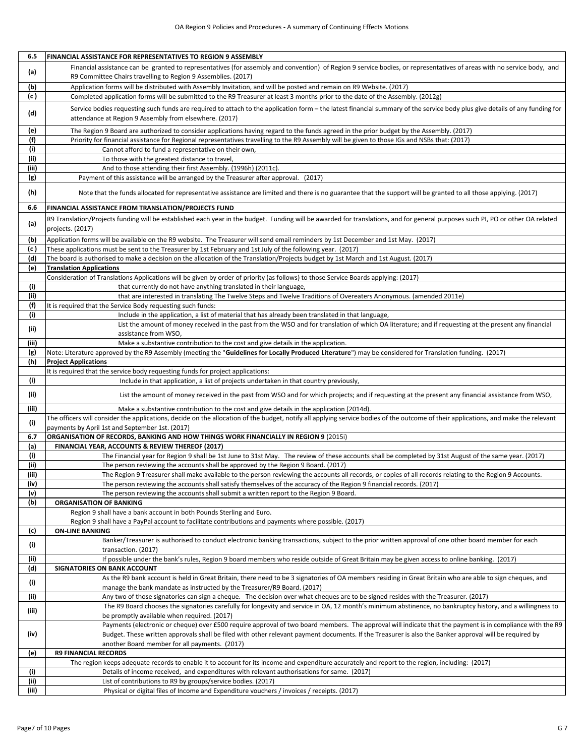| 6.5           | FINANCIAL ASSISTANCE FOR REPRESENTATIVES TO REGION 9 ASSEMBLY                                                                                                                       |
|---------------|-------------------------------------------------------------------------------------------------------------------------------------------------------------------------------------|
| (a)           | Financial assistance can be granted to representatives (for assembly and convention) of Region 9 service bodies, or representatives of areas with no service body, and              |
|               | R9 Committee Chairs travelling to Region 9 Assemblies. (2017)                                                                                                                       |
| (b)           | Application forms will be distributed with Assembly Invitation, and will be posted and remain on R9 Website. (2017)                                                                 |
| (c)           | Completed application forms will be submitted to the R9 Treasurer at least 3 months prior to the date of the Assembly. (2012g)                                                      |
|               | Service bodies requesting such funds are required to attach to the application form - the latest financial summary of the service body plus give details of any funding for         |
| (d)           | attendance at Region 9 Assembly from elsewhere. (2017)                                                                                                                              |
|               |                                                                                                                                                                                     |
| (e)           | The Region 9 Board are authorized to consider applications having regard to the funds agreed in the prior budget by the Assembly. (2017)                                            |
| (f)           | Priority for financial assistance for Regional representatives travelling to the R9 Assembly will be given to those IGs and NSBs that: (2017)                                       |
| (i)           | Cannot afford to fund a representative on their own,                                                                                                                                |
| (ii)<br>(iii) | To those with the greatest distance to travel,<br>And to those attending their first Assembly. (1996h) (2011c).                                                                     |
| (g)           | Payment of this assistance will be arranged by the Treasurer after approval. (2017)                                                                                                 |
|               |                                                                                                                                                                                     |
| (h)           | Note that the funds allocated for representative assistance are limited and there is no guarantee that the support will be granted to all those applying. (2017)                    |
| 6.6           |                                                                                                                                                                                     |
|               | FINANCIAL ASSISTANCE FROM TRANSLATION/PROJECTS FUND                                                                                                                                 |
| (a)           | R9 Translation/Projects funding will be established each year in the budget. Funding will be awarded for translations, and for general purposes such PI, PO or other OA related     |
|               | projects. (2017)                                                                                                                                                                    |
| (b)           | Application forms will be available on the R9 website. The Treasurer will send email reminders by 1st December and 1st May. (2017)                                                  |
| (c )          | These applications must be sent to the Treasurer by 1st February and 1st July of the following year. (2017)                                                                         |
| (d)           | The board is authorised to make a decision on the allocation of the Translation/Projects budget by 1st March and 1st August. (2017)                                                 |
| (e)           | <b>Translation Applications</b>                                                                                                                                                     |
|               | Consideration of Translations Applications will be given by order of priority (as follows) to those Service Boards applying: (2017)                                                 |
| (i)           | that currently do not have anything translated in their language,                                                                                                                   |
| (ii)          | that are interested in translating The Twelve Steps and Twelve Traditions of Overeaters Anonymous. (amended 2011e)                                                                  |
| (f)           | It is required that the Service Body requesting such funds:                                                                                                                         |
| (i)           | Include in the application, a list of material that has already been translated in that language,                                                                                   |
| (ii)          | List the amount of money received in the past from the WSO and for translation of which OA literature; and if requesting at the present any financial                               |
|               | assistance from WSO,                                                                                                                                                                |
| (iii)         | Make a substantive contribution to the cost and give details in the application.                                                                                                    |
| (g)           | Note: Literature approved by the R9 Assembly (meeting the "Guidelines for Locally Produced Literature") may be considered for Translation funding. (2017)                           |
| (h)           | <b>Project Applications</b><br>It is required that the service body requesting funds for project applications:                                                                      |
| (i)           | Include in that application, a list of projects undertaken in that country previously,                                                                                              |
|               |                                                                                                                                                                                     |
| (ii)          | List the amount of money received in the past from WSO and for which projects; and if requesting at the present any financial assistance from WSO,                                  |
| (iii)         | Make a substantive contribution to the cost and give details in the application (2014d).                                                                                            |
|               | The officers will consider the applications, decide on the allocation of the budget, notify all applying service bodies of the outcome of their applications, and make the relevant |
| (i)           | payments by April 1st and September 1st. (2017)                                                                                                                                     |
| 6.7           | ORGANISATION OF RECORDS, BANKING AND HOW THINGS WORK FINANCIALLY IN REGION 9 (2015i)                                                                                                |
| (a)           | FINANCIAL YEAR, ACCOUNTS & REVIEW THEREOF (2017)                                                                                                                                    |
| (i)           | The Financial year for Region 9 shall be 1st June to 31st May. The review of these accounts shall be completed by 31st August of the same year. (2017)                              |
| (ii)          | The person reviewing the accounts shall be approved by the Region 9 Board. (2017)                                                                                                   |
| (iii)         | The Region 9 Treasurer shall make available to the person reviewing the accounts all records, or copies of all records relating to the Region 9 Accounts.                           |
| (iv)          | The person reviewing the accounts shall satisfy themselves of the accuracy of the Region 9 financial records. (2017)                                                                |
| (v)           | The person reviewing the accounts shall submit a written report to the Region 9 Board.                                                                                              |
| (b)           | <b>ORGANISATION OF BANKING</b>                                                                                                                                                      |
|               | Region 9 shall have a bank account in both Pounds Sterling and Euro.                                                                                                                |
|               | Region 9 shall have a PayPal account to facilitate contributions and payments where possible. (2017)                                                                                |
| (c)           | <b>ON-LINE BANKING</b>                                                                                                                                                              |
| (i)           | Banker/Treasurer is authorised to conduct electronic banking transactions, subject to the prior written approval of one other board member for each                                 |
|               |                                                                                                                                                                                     |
|               | transaction. (2017)                                                                                                                                                                 |
| (ii)          | If possible under the bank's rules, Region 9 board members who reside outside of Great Britain may be given access to online banking. (2017)                                        |
| (d)           | <b>SIGNATORIES ON BANK ACCOUNT</b>                                                                                                                                                  |
|               | As the R9 bank account is held in Great Britain, there need to be 3 signatories of OA members residing in Great Britain who are able to sign cheques, and                           |
| (i)           | manage the bank mandate as instructed by the Treasurer/R9 Board. (2017)                                                                                                             |
| (ii)          | Any two of those signatories can sign a cheque. The decision over what cheques are to be signed resides with the Treasurer. (2017)                                                  |
| (iii)         | The R9 Board chooses the signatories carefully for longevity and service in OA, 12 month's minimum abstinence, no bankruptcy history, and a willingness to                          |
|               | be promptly available when required. (2017)                                                                                                                                         |
|               | Payments (electronic or cheque) over £500 require approval of two board members. The approval will indicate that the payment is in compliance with the R9                           |
| (iv)          | Budget. These written approvals shall be filed with other relevant payment documents. If the Treasurer is also the Banker approval will be required by                              |
|               | another Board member for all payments. (2017)                                                                                                                                       |
| (e)           | <b>R9 FINANCIAL RECORDS</b>                                                                                                                                                         |
|               | The region keeps adequate records to enable it to account for its income and expenditure accurately and report to the region, including: (2017)                                     |
| (i)<br>(i)    | Details of income received, and expenditures with relevant authorisations for same. (2017)<br>List of contributions to R9 by groups/service bodies. (2017)                          |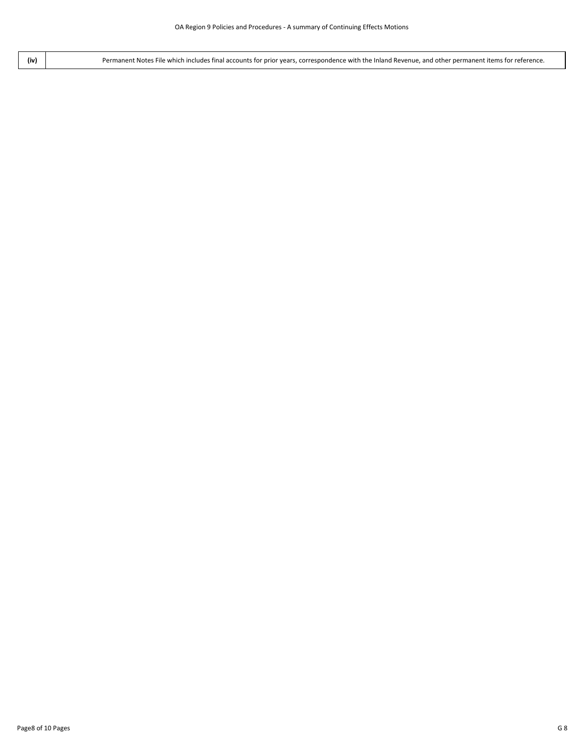**(iv)** Permanent Notes File which includes final accounts for prior years, correspondence with the Inland Revenue, and other permanent items for reference.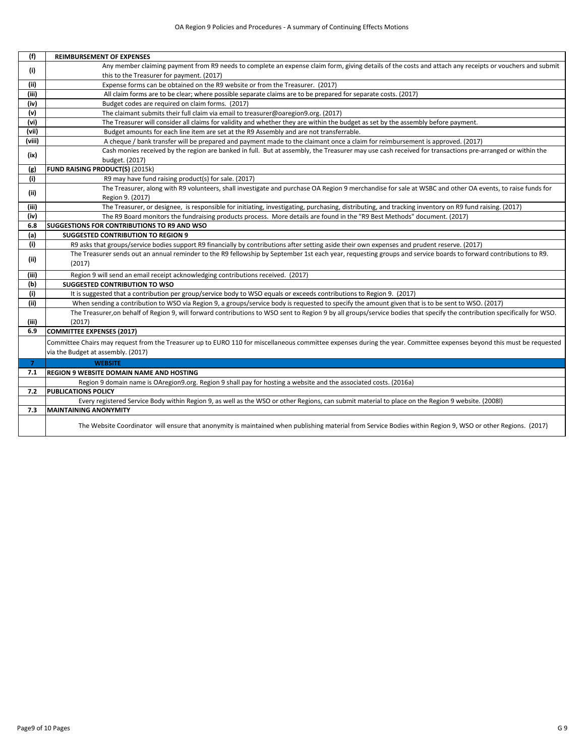| (f)            | <b>REIMBURSEMENT OF EXPENSES</b>                                                                                                                                          |
|----------------|---------------------------------------------------------------------------------------------------------------------------------------------------------------------------|
| (i)            | Any member claiming payment from R9 needs to complete an expense claim form, giving details of the costs and attach any receipts or vouchers and submit                   |
|                | this to the Treasurer for payment. (2017)                                                                                                                                 |
| (ii)           | Expense forms can be obtained on the R9 website or from the Treasurer. (2017)                                                                                             |
| (iii)          | All claim forms are to be clear; where possible separate claims are to be prepared for separate costs. (2017)                                                             |
| (iv)           | Budget codes are required on claim forms. (2017)                                                                                                                          |
| (v)            | The claimant submits their full claim via email to treasurer@oaregion9.org. (2017)                                                                                        |
| (vi)           | The Treasurer will consider all claims for validity and whether they are within the budget as set by the assembly before payment.                                         |
| (vii)          | Budget amounts for each line item are set at the R9 Assembly and are not transferrable.                                                                                   |
| (viii)         | A cheque / bank transfer will be prepared and payment made to the claimant once a claim for reimbursement is approved. (2017)                                             |
|                | Cash monies received by the region are banked in full. But at assembly, the Treasurer may use cash received for transactions pre-arranged or within the                   |
| (ix)           | budget. (2017)                                                                                                                                                            |
| (g)            | FUND RAISING PRODUCT(S) (2015k)                                                                                                                                           |
| (i)            | R9 may have fund raising product(s) for sale. (2017)                                                                                                                      |
| (ii)           | The Treasurer, along with R9 volunteers, shall investigate and purchase OA Region 9 merchandise for sale at WSBC and other OA events, to raise funds for                  |
|                | Region 9. (2017)                                                                                                                                                          |
| (iii)          | The Treasurer, or designee, is responsible for initiating, investigating, purchasing, distributing, and tracking inventory on R9 fund raising. (2017)                     |
| (iv)           | The R9 Board monitors the fundraising products process. More details are found in the "R9 Best Methods" document. (2017)                                                  |
| 6.8            | <b>SUGGESTIONS FOR CONTRIBUTIONS TO R9 AND WSO</b>                                                                                                                        |
| (a)            | <b>SUGGESTED CONTRIBUTION TO REGION 9</b>                                                                                                                                 |
| (i)            | R9 asks that groups/service bodies support R9 financially by contributions after setting aside their own expenses and prudent reserve. (2017)                             |
| (ii)           | The Treasurer sends out an annual reminder to the R9 fellowship by September 1st each year, requesting groups and service boards to forward contributions to R9.          |
|                | (2017)                                                                                                                                                                    |
| (iii)          | Region 9 will send an email receipt acknowledging contributions received. (2017)                                                                                          |
| (b)            | <b>SUGGESTED CONTRIBUTION TO WSO</b>                                                                                                                                      |
| (i)            | It is suggested that a contribution per group/service body to WSO equals or exceeds contributions to Region 9. (2017)                                                     |
| (ii)           | When sending a contribution to WSO via Region 9, a groups/service body is requested to specify the amount given that is to be sent to WSO. (2017)                         |
|                | The Treasurer, on behalf of Region 9, will forward contributions to WSO sent to Region 9 by all groups/service bodies that specify the contribution specifically for WSO. |
| (iii)          | (2017)                                                                                                                                                                    |
| 6.9            | <b>COMMITTEE EXPENSES (2017)</b>                                                                                                                                          |
|                | Committee Chairs may request from the Treasurer up to EURO 110 for miscellaneous committee expenses during the year. Committee expenses beyond this must be requested     |
|                | via the Budget at assembly. (2017)                                                                                                                                        |
| $\overline{7}$ | <b>WEBSITE</b>                                                                                                                                                            |
| 7.1            | <b>REGION 9 WEBSITE DOMAIN NAME AND HOSTING</b>                                                                                                                           |
|                | Region 9 domain name is OAregion9.org. Region 9 shall pay for hosting a website and the associated costs. (2016a)                                                         |
| 7.2            | <b>PUBLICATIONS POLICY</b>                                                                                                                                                |
|                | Every registered Service Body within Region 9, as well as the WSO or other Regions, can submit material to place on the Region 9 website. (2008l)                         |
| 7.3            | <b>MAINTAINING ANONYMITY</b>                                                                                                                                              |
|                |                                                                                                                                                                           |
|                | The Website Coordinator will ensure that anonymity is maintained when publishing material from Service Bodies within Region 9, WSO or other Regions. (2017)               |